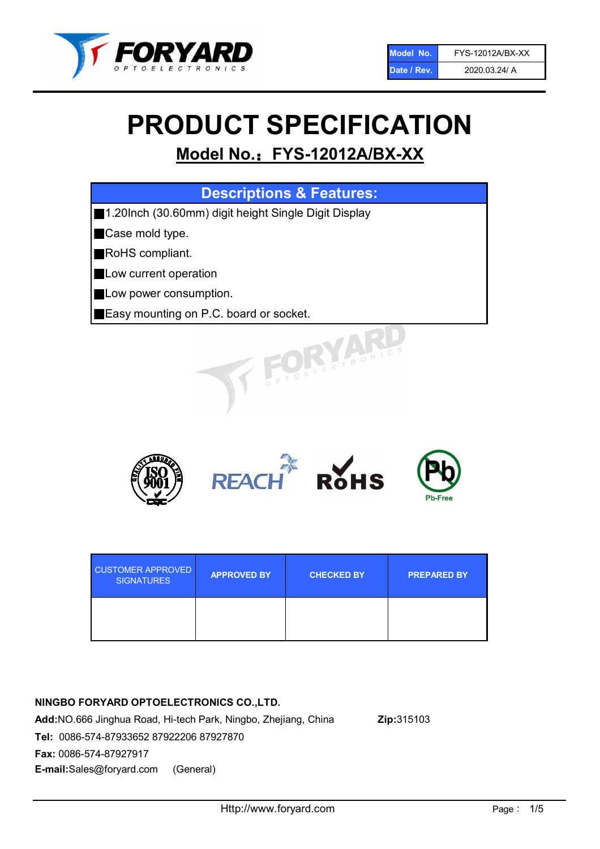

# PRODUCT SPECIFICATION

# Model No.: FYS-12012A/BX-XX

| <b>Descriptions &amp; Features:</b>                  |
|------------------------------------------------------|
| 1.20Inch (30.60mm) digit height Single Digit Display |
| Case mold type.                                      |
| RoHS compliant.                                      |
| Low current operation                                |
| Low power consumption.                               |
| <b>Easy mounting on P.C. board or socket.</b>        |
| TOELECTRONIC                                         |



| <b>CUSTOMER APPROVED</b><br><b>SIGNATURES</b> | <b>APPROVED BY</b> | <b>CHECKED BY</b> | <b>PREPARED BY</b> |
|-----------------------------------------------|--------------------|-------------------|--------------------|
|                                               |                    |                   |                    |

# NINGBO FORYARD OPTOELECTRONICS CO.,LTD.

Add:NO.666 Jinghua Road, Hi-tech Park, Ningbo, Zhejiang, China Zip:315103 Tel: 0086-574-87933652 87922206 87927870 Fax: 0086-574-87927917 E-mail:Sales@foryard.com (General)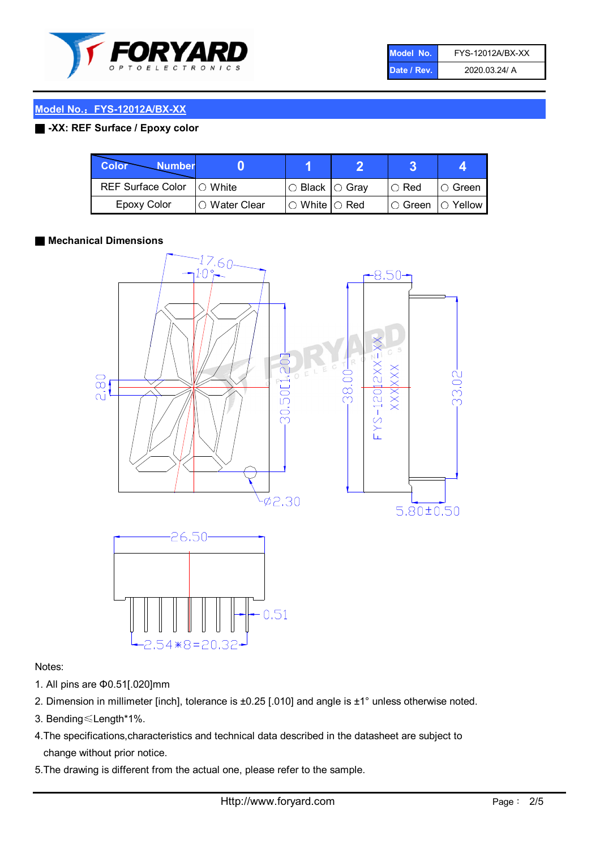

| Model No.'  | FYS-12012A/BX-XX |
|-------------|------------------|
| Date / Rev. | 2020.03.24/ A    |

### Model No.: FYS-12012A/BX-XX

### ■ -XX: REF Surface / Epoxy color

| Color<br><b>Number</b>     |                |                                                   |                    |               |
|----------------------------|----------------|---------------------------------------------------|--------------------|---------------|
| REF Surface Color  ○ White |                | $\circ$ Black $\circ$ Gray                        | I⊖ Red             | $\circ$ Green |
| Epoxy Color                | I∩ Water Clear | $\mathbin{\varcap}$ White $\mathbin{\varcap}$ Red | I○ Green I○ Yellow |               |

#### ■ Mechanical Dimensions



#### Notes:

- 1. All pins are Φ0.51[.020]mm
- 2. Dimension in millimeter [inch], tolerance is ±0.25 [.010] and angle is ±1° unless otherwise noted.
- 3. Bending≤Length\*1%.
- 4.The specifications,characteristics and technical data described in the datasheet are subject to change without prior notice.
- 5.The drawing is different from the actual one, please refer to the sample.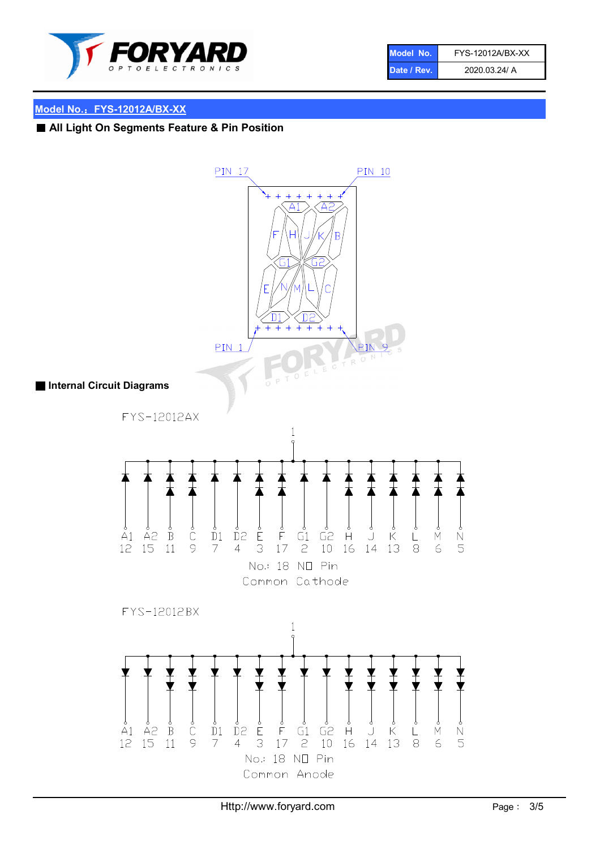

| Model No.   | FYS-12012A/BX-XX |
|-------------|------------------|
| Date / Rev. | 2020.03.24/ A    |

### Model No.: FYS-12012A/BX-XX

# ■ All Light On Segments Feature & Pin Position

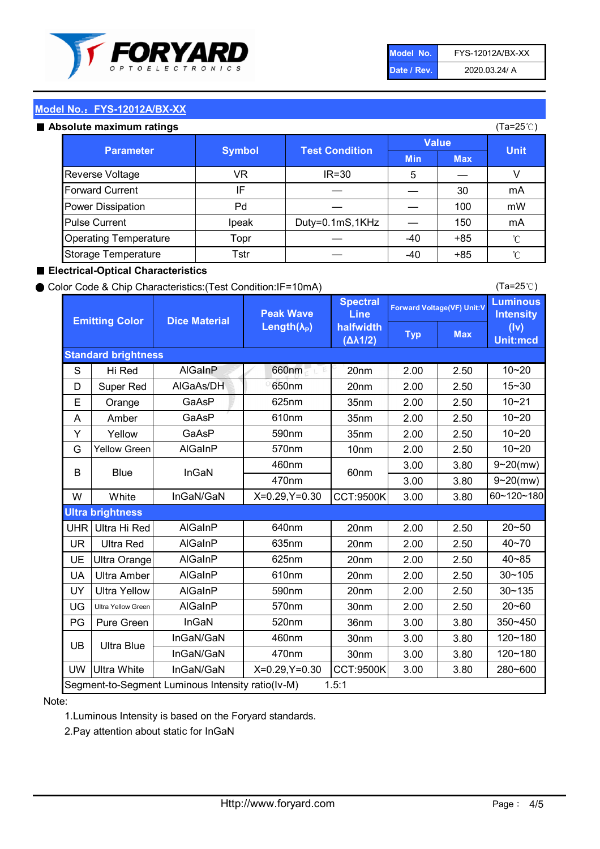

| Model No.   | FYS-12012A/BX-XX |
|-------------|------------------|
| Date / Rev. | 2020.03.24/ A    |

(Ta=25℃)

# Model No.: FYS-12012A/BX-XX

|  | Absolute maximum ratings |  |
|--|--------------------------|--|

| osolute maximum ratings      |               |                       |            |             | (Ta=25℃)     |
|------------------------------|---------------|-----------------------|------------|-------------|--------------|
|                              |               | <b>Value</b>          |            | <b>Unit</b> |              |
| <b>Parameter</b>             | <b>Symbol</b> | <b>Test Condition</b> | <b>Min</b> | <b>Max</b>  |              |
| Reverse Voltage              | VR            | $IR = 30$             | 5          |             | v            |
| <b>Forward Current</b>       | IF            |                       |            | 30          | mA           |
| Power Dissipation            | Pd            |                       |            | 100         | mW           |
| <b>Pulse Current</b>         | Ipeak         | Duty=0.1mS,1KHz       |            | 150         | mA           |
| <b>Operating Temperature</b> | Topr          |                       | $-40$      | $+85$       | $^{\circ}$ C |
| Storage Temperature          | Tstr          |                       | -40        | $+85$       | °C           |

#### ■ Electrical-Optical Characteristics

#### ● Color Code & Chip Characteristics:(Test Condition:IF=10mA)

Typ Max S | Hi $\textsf{Red}$  | AlGaInP | 660nm LE 20nm | 2.00 | 2.50 D | Super Red | AIGaAs/DH | 650nm | 20nm | 2.00 | 2.50 E | Orange | GaAsP | 625nm | 35nm | 2.00 | 2.50 A | Amber | GaAsP | 610nm | 35nm | 2.00 | 2.50 Y | Yellow | GaAsP | 590nm | 35nm | 2.00 | 2.50 G Yellow Green AIGaInP | 570nm | 10nm | 2.00 | 2.50 3.00 3.80 3.00 3.80 W | White | InGaN/GaN | X=0.29,Y=0.30 |CCT:9500K| 3.00 | 3.80 UHR Ultra Hi Red | AlGaInP | 640nm | 20nm | 2.00 | 2.50 UR | Ultra Red | AlGaInP | 635nm | 20nm | 2.00 | 2.50 UE Ultra Orange | AIGaInP | 625nm | 20nm | 2.00 | 2.50 UA Ultra Amber | AIGaInP | 610nm | 20nm | 2.00 | 2.50  $UV$  Ultra Yellow  $\vert$  AlGaInP  $\vert$  590nm  $\vert$  20nm  $\vert$  2.00  $\vert$  2.50  $\text{UG}$  Ultra Yellow Green | AIGaInP | 570nm | 30nm | 2.00 | 2.50 PG Pure Green | InGaN | 520nm | 36nm | 3.00 | 3.80 30nm 3.00 3.80 30nm 3.00 3.80 UW |Ultra White | InGaN/GaN | X=0.29,Y=0.30 |CCT:9500K| 3.00 | 3.80 40~85 60~120~180 40~70 Segment-to-Segment Luminous Intensity ratio(Iv-M) 1.5:1 610nm 9~20(mw) 350~450 470nm 120~180 120~180 Ultra Blue InGaN/GaN InGaN/GaN 9~20(mw) 20~50 280~600 570nm | 30nm | 2.00 | 2.50 | 20~60 470nm 590nm InGaN/GaN B Blue I InGaN 570nm | 10nm | 2.00 | 2.50 | 10~20 30~105 30~135 460nm 520nm Ultra brightness **AlGaInP** AlGaInP 60nm AlGaInP 640nm Peak Wave Length $(\lambda_{\rm P})$ UB 460nm 635nm AlGaInP AlGaInP AlGaInP InGaN/GaN AlGaInP 10~20 Luminous **Intensity** (Iv) Unit:mcd AlGainP 660nm GaAsP GaAsP AlGaAs/DH **Spectral** Line halfwidth (∆λ1/2) 10~20 Standard brightness Forward Voltage(VF) Unit:V 15~30 10~20 625nm GaAsP 590nm **Emitting Color Dice Material** 10~21 610nm

#### Note:

1.Luminous Intensity is based on the Foryard standards.

2.Pay attention about static for InGaN